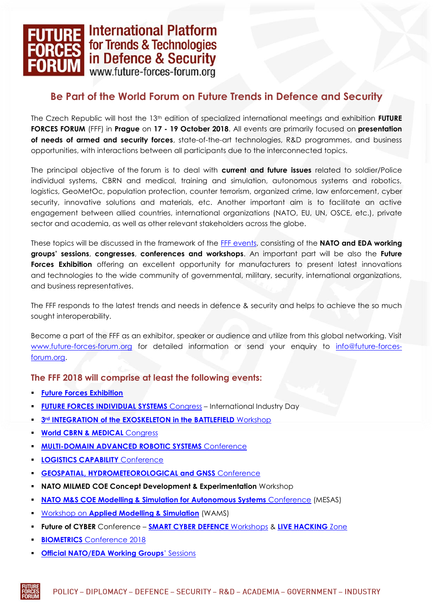## - International Platform for Trends & Technologies in Defence & Security www.future-forces-forum.org

## **Be Part of the World Forum on Future Trends in Defence and Security**

The Czech Republic will host the 13th edition of specialized international meetings and exhibition **FUTURE FORCES FORUM** (FFF) in **Prague** on **17 - 19 October 2018**. All events are primarily focused on **presentation of needs of armed and security forces**, state-of-the-art technologies, R&D programmes, and business opportunities, with interactions between all participants due to the interconnected topics.

The principal objective of the forum is to deal with **current and future issues** related to soldier/Police individual systems, CBRN and medical, training and simulation, autonomous systems and robotics, logistics, GeoMetOc, population protection, counter terrorism, organized crime, law enforcement, cyber security, innovative solutions and materials, etc. Another important aim is to facilitate an active engagement between allied countries, international organizations (NATO, EU, UN, OSCE, etc.), private sector and academia, as well as other relevant stakeholders across the globe.

These topics will be discussed in the framework of the [FFF events,](http://www.future-forces-forum.org/events) consisting of the **NATO and EDA working groups' sessions**, **congresses**, **conferences and workshops**. An important part will be also the **Future Forces Exhibition** offering an excellent opportunity for manufacturers to present latest innovations and technologies to the wide community of governmental, military, security, international organizations, and business representatives.

The FFF responds to the latest trends and needs in defence & security and helps to achieve the so much sought interoperability.

Become a part of the FFF as an exhibitor, speaker or audience and utilize from this global networking. Visit [www.future-forces-forum.org](file://///Ppa/veletrhy/_FUTURE_FORCES/_FFF2018/GRAFIKA/www.future-forces-forum.org) for detailed information or send your enquiry to [info@future-forces](mailto:info@future-forces-forum.org)[forum.org.](mailto:info@future-forces-forum.org)

**The FFF 2018 will comprise at least the following events:**

- **[Future Forces Exhibition](http://www.future-forces-forum.org/events/default/15_future-forces-exhibition?lang=en)**
- **[FUTURE FORCES INDIVIDUAL SYSTEMS](http://www.future-forces-forum.org/events/default/20_future-forces-individual?lang=en)** Congress International Industry Day
- **3<sup>rd</sup> [INTEGRATION of the EXOSKELETON in the BATTLEFIELD](http://www.future-forces-forum.org/preview/event/31?lang=en)** Workshop
- **[World CBRN & MEDICAL](http://www.future-forces-forum.org/events/default/19_cebiram-2018?lang=en)** Congress
- **MULTI-DOMAIN ADVANCED ROBOTIC SYSTEMS** Conference
- **[LOGISTICS CAPABILITY](http://www.future-forces-forum.org/events/default/23_logistics-capability-2018?lang=en)** Conference
- **[GEOSPATIAL, HYDROMETEOROLOGICAL and GNSS](http://www.future-forces-forum.org/events/default/21_geometoc-2018?lang=en)** Conference
- **NATO MILMED COE Concept Development & Experimentation** Workshop
- **NATO M&S [COE Modelling & Simulation for Autonomous Systems](http://www.future-forces-forum.org/events/default/29_mesas-2018?lang=en)** Conference (MESAS)
- Workshop on **[Applied Modelling & Simulation](http://www.future-forces-forum.org/events/default/30_wams-2018?lang=en)** (WAMS)
- **Future of CYBER** Conference **[SMART CYBER DEFENCE](http://www.future-forces-forum.org/events/default/25_future-of-cyber-scd?lang=en)** Workshops & **[LIVE HACKING](http://www.future-forces-forum.org/events/default/24_future-of-cyber-lhz?lang=en)** Zone
- **BIOMETRICS** [Conference 2018](http://www.future-forces-forum.org/events/default/28_biometrics?lang=en)
- **[Official NATO/EDA](http://www.future-forces-forum.org/events/default/16_expert-groups-2018?lang=en) Working Groups**' Sessions